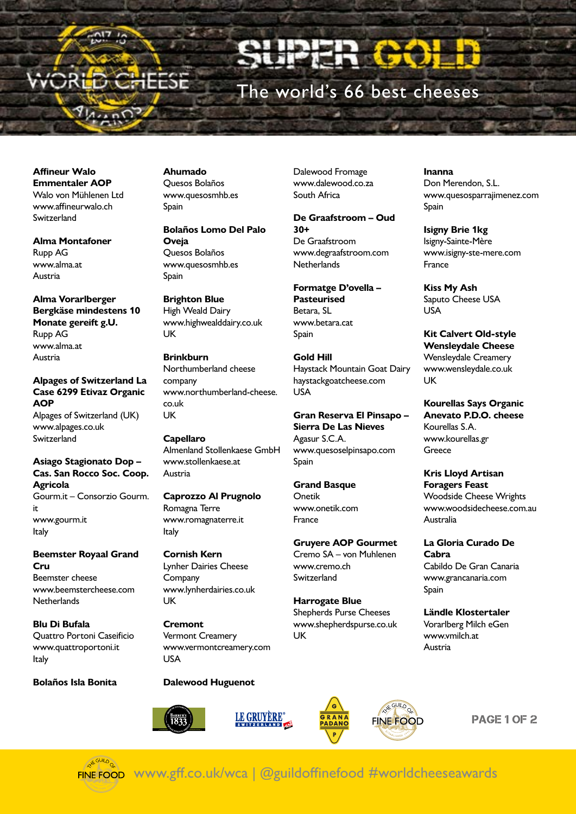

MunO

 $17<sub>16</sub>$ 

The world's 66 best cheeses

Dalewood Fromage www.dalewood.co.za

**De Graafstroom – Oud** 

www.degraafstroom.com

**Formatge D'ovella –** 

Haystack Mountain Goat Dairy haystackgoatcheese.com

**Gran Reserva El Pinsapo – Sierra De Las Nieves**

www.quesoselpinsapo.com

**Gruyere AOP Gourmet** Cremo SA – von Muhlenen

South Africa

De Graafstroom

**Netherlands** 

**Pasteurised** Betara, SL www.betara.cat

Spain

USA

Spain

Onetik

France

**Gold Hill**

Agasur S.C.A.

**Grand Basque**

www.onetik.com

www.cremo.ch **Switzerland** 

**Harrogate Blue** Shepherds Purse Cheeses www.shepherdspurse.co.uk

**30+**

**Affineur Walo Emmentaler AOP** Walo von Mühlenen Ltd www.affineurwalo.ch Switzerland

**Alma Montafoner** Rupp AG www.alma.at Austria

**Alma Vorarlberger Bergkäse mindestens 10 Monate gereift g.U.** Rupp AG www.alma.at Austria

**Alpages of Switzerland La Case 6299 Etivaz Organic AOP** Alpages of Switzerland (UK) www.alpages.co.uk Switzerland

**Asiago Stagionato Dop – Cas. San Rocco Soc. Coop. Agricola** Gourm.it – Consorzio Gourm. it www.gourm.it Italy

**Beemster Royaal Grand Cru** Beemster cheese www.beemstercheese.com **Netherlands** 

**Blu Di Bufala** Quattro Portoni Caseificio www.quattroportoni.it Italy

**Bolaños Isla Bonita** 

**Ahumado** Quesos Bolaños www.quesosmhb.es Spain

**Bolaños Lomo Del Palo Oveja** Quesos Bolaños www.quesosmhb.es Spain

**Brighton Blue** High Weald Dairy www.highwealddairy.co.uk **UK** 

**Brinkburn** Northumberland cheese company www.northumberland-cheese. co.uk UK

**Capellaro** Almenland Stollenkaese GmbH www.stollenkaese.at Austria

**Caprozzo Al Prugnolo** Romagna Terre www.romagnaterre.it Italy

**Cornish Kern** Lynher Dairies Cheese **Company** www.lynherdairies.co.uk UK

**Cremont** Vermont Creamery www.vermontcreamery.com USA

## **Dalewood Huguenot**







**VE GUILD FINE FOOD** 

**Inanna** Don Merendon, S.L. www.quesosparrajimenez.com Spain

**Isigny Brie 1kg** Isigny-Sainte-Mère www.isigny-ste-mere.com France

**Kiss My Ash** Saputo Cheese USA USA

**Kit Calvert Old-style Wensleydale Cheese** Wensleydale Creamery www.wensleydale.co.uk UK

**Kourellas Says Organic Anevato P.D.O. cheese** Kourellas S.A. www.kourellas.gr **Greece** 

**Kris Lloyd Artisan Foragers Feast** Woodside Cheese Wrights www.woodsidecheese.com.au Australia

**La Gloria Curado De Cabra** Cabildo De Gran Canaria www.grancanaria.com Spain

**Ländle Klostertaler** Vorarlberg Milch eGen www.vmilch.at Austria

PAGE 1 OF 2

FINE FOOD www.gff.co.uk/wca | @guildoffinefood #worldcheeseawards

UK